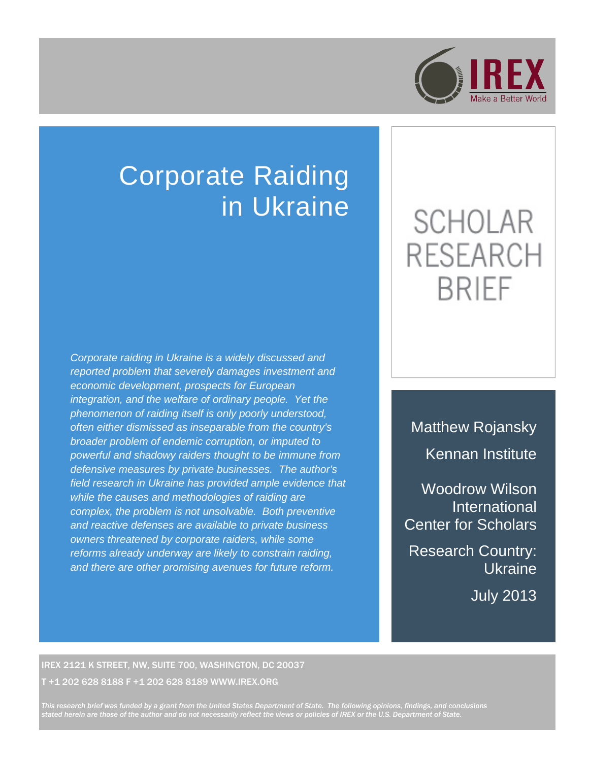

## Corporate Raiding in Ukraine

*Corporate raiding in Ukraine is a widely discussed and reported problem that severely damages investment and economic development, prospects for European integration, and the welfare of ordinary people. Yet the phenomenon of raiding itself is only poorly understood, often either dismissed as inseparable from the country's broader problem of endemic corruption, or imputed to powerful and shadowy raiders thought to be immune from defensive measures by private businesses. The author's field research in Ukraine has provided ample evidence that while the causes and methodologies of raiding are complex, the problem is not unsolvable. Both preventive and reactive defenses are available to private business owners threatened by corporate raiders, while some reforms already underway are likely to constrain raiding, and there are other promising avenues for future reform.*

# **SCHOLAR RESEARCH BRIEF**

Matthew Rojansky Kennan Institute

Woodrow Wilson International Center for Scholars

Research Country: Ukraine

July 2013

#### IREX 2121 K STREET, NW, SUITE 700, WASHINGTON, DC 20037 T +1 202 628 8188 F +1 202 628 8189 WWW.IREX.ORG

*This research brief was funded by a grant from the United States Department of State. The following opinions, findings, and conclusions stated herein are those of the author and do not necessarily reflect the views or policies of IREX or the U.S. Department of State.*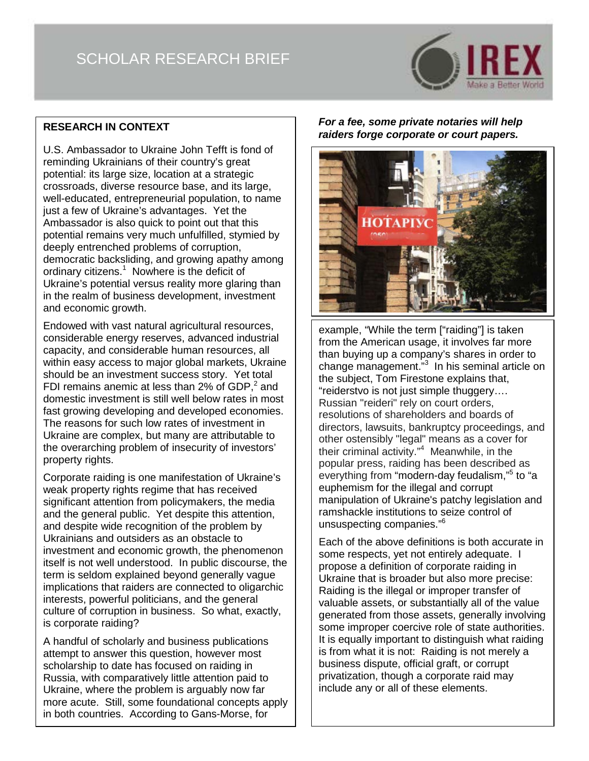### SCHOLAR RESEARCH BRIEF



#### **RESEARCH IN CONTEXT**

U.S. Ambassador to Ukraine John Tefft is fond of reminding Ukrainians of their country's great potential: its large size, location at a strategic crossroads, diverse resource base, and its large, well-educated, entrepreneurial population, to name just a few of Ukraine's advantages. Yet the Ambassador is also quick to point out that this potential remains very much unfulfilled, stymied by deeply entrenched problems of corruption, democratic backsliding, and growing apathy among ordinary citizens.<sup>1</sup> Nowhere is the deficit of Ukraine's potential versus reality more glaring than in the realm of business development, investment and economic growth.

Endowed with vast natural agricultural resources, considerable energy reserves, advanced industrial capacity, and considerable human resources, all within easy access to major global markets, Ukraine should be an investment success story. Yet total FDI remains anemic at less than 2% of GDP,<sup>2</sup> and domestic investment is still well below rates in most fast growing developing and developed economies. The reasons for such low rates of investment in Ukraine are complex, but many are attributable to the overarching problem of insecurity of investors' property rights.

Corporate raiding is one manifestation of Ukraine's weak property rights regime that has received significant attention from policymakers, the media and the general public. Yet despite this attention, and despite wide recognition of the problem by Ukrainians and outsiders as an obstacle to investment and economic growth, the phenomenon itself is not well understood. In public discourse, the term is seldom explained beyond generally vague implications that raiders are connected to oligarchic interests, powerful politicians, and the general culture of corruption in business. So what, exactly, is corporate raiding?

A handful of scholarly and business publications attempt to answer this question, however most scholarship to date has focused on raiding in Russia, with comparatively little attention paid to Ukraine, where the problem is arguably now far more acute. Still, some foundational concepts apply in both countries. According to Gans-Morse, for

*For a fee, some private notaries will help raiders forge corporate or court papers.*



example, "While the term ["raiding"] is taken from the American usage, it involves far more than buying up a company's shares in order to change management."<sup>3</sup> In his seminal article on the subject, Tom Firestone explains that, "reiderstvo is not just simple thuggery…. Russian "reideri" rely on court orders, resolutions of shareholders and boards of directors, lawsuits, bankruptcy proceedings, and other ostensibly "legal" means as a cover for their criminal activity."<sup>4</sup> Meanwhile, in the popular press, raiding has been described as everything from "modern-day feudalism,"<sup>5</sup> to "a euphemism for the illegal and corrupt manipulation of Ukraine's patchy legislation and ramshackle institutions to seize control of unsuspecting companies."<sup>6</sup>

Each of the above definitions is both accurate in some respects, yet not entirely adequate. I propose a definition of corporate raiding in Ukraine that is broader but also more precise: Raiding is the illegal or improper transfer of valuable assets, or substantially all of the value generated from those assets, generally involving some improper coercive role of state authorities. It is equally important to distinguish what raiding is from what it is not: Raiding is not merely a business dispute, official graft, or corrupt privatization, though a corporate raid may include any or all of these elements.

2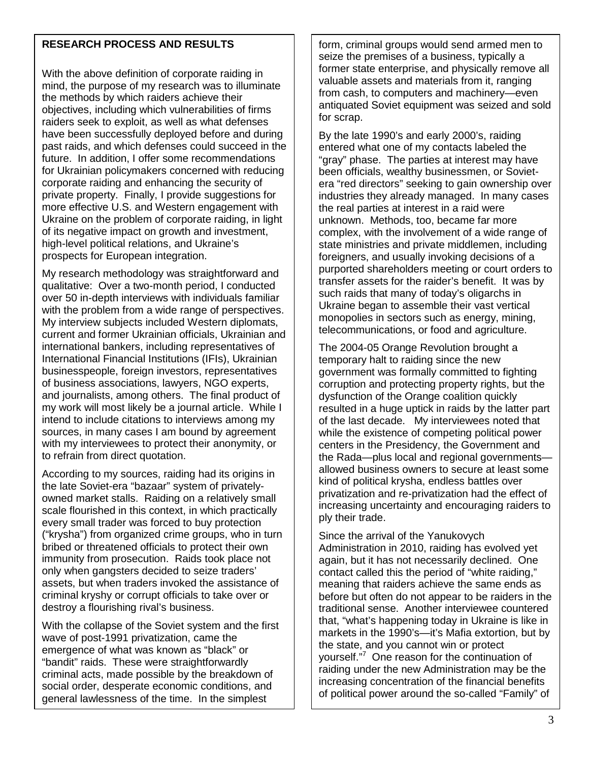#### **RESEARCH PROCESS AND RESULTS**

With the above definition of corporate raiding in mind, the purpose of my research was to illuminate the methods by which raiders achieve their objectives, including which vulnerabilities of firms raiders seek to exploit, as well as what defenses have been successfully deployed before and during past raids, and which defenses could succeed in the future. In addition, I offer some recommendations for Ukrainian policymakers concerned with reducing corporate raiding and enhancing the security of private property. Finally, I provide suggestions for more effective U.S. and Western engagement with Ukraine on the problem of corporate raiding, in light of its negative impact on growth and investment, high-level political relations, and Ukraine's prospects for European integration.

My research methodology was straightforward and qualitative: Over a two-month period, I conducted over 50 in-depth interviews with individuals familiar with the problem from a wide range of perspectives. My interview subjects included Western diplomats, current and former Ukrainian officials, Ukrainian and international bankers, including representatives of International Financial Institutions (IFIs), Ukrainian businesspeople, foreign investors, representatives of business associations, lawyers, NGO experts, and journalists, among others. The final product of my work will most likely be a journal article. While I intend to include citations to interviews among my sources, in many cases I am bound by agreement with my interviewees to protect their anonymity, or to refrain from direct quotation.

According to my sources, raiding had its origins in the late Soviet-era "bazaar" system of privatelyowned market stalls. Raiding on a relatively small scale flourished in this context, in which practically every small trader was forced to buy protection ("krysha") from organized crime groups, who in turn bribed or threatened officials to protect their own immunity from prosecution. Raids took place not only when gangsters decided to seize traders' assets, but when traders invoked the assistance of criminal kryshy or corrupt officials to take over or destroy a flourishing rival's business.

With the collapse of the Soviet system and the first wave of post-1991 privatization, came the emergence of what was known as "black" or "bandit" raids. These were straightforwardly criminal acts, made possible by the breakdown of social order, desperate economic conditions, and general lawlessness of the time. In the simplest

form, criminal groups would send armed men to seize the premises of a business, typically a former state enterprise, and physically remove all valuable assets and materials from it, ranging from cash, to computers and machinery—even antiquated Soviet equipment was seized and sold for scrap.

By the late 1990's and early 2000's, raiding entered what one of my contacts labeled the "gray" phase. The parties at interest may have been officials, wealthy businessmen, or Sovietera "red directors" seeking to gain ownership over industries they already managed. In many cases the real parties at interest in a raid were unknown. Methods, too, became far more complex, with the involvement of a wide range of state ministries and private middlemen, including foreigners, and usually invoking decisions of a purported shareholders meeting or court orders to transfer assets for the raider's benefit. It was by such raids that many of today's oligarchs in Ukraine began to assemble their vast vertical monopolies in sectors such as energy, mining, telecommunications, or food and agriculture.

The 2004-05 Orange Revolution brought a temporary halt to raiding since the new government was formally committed to fighting corruption and protecting property rights, but the dysfunction of the Orange coalition quickly resulted in a huge uptick in raids by the latter part of the last decade. My interviewees noted that while the existence of competing political power centers in the Presidency, the Government and the Rada—plus local and regional governments allowed business owners to secure at least some kind of political krysha, endless battles over privatization and re-privatization had the effect of increasing uncertainty and encouraging raiders to ply their trade.

Since the arrival of the Yanukovych Administration in 2010, raiding has evolved yet again, but it has not necessarily declined. One contact called this the period of "white raiding," meaning that raiders achieve the same ends as before but often do not appear to be raiders in the traditional sense. Another interviewee countered that, "what's happening today in Ukraine is like in markets in the 1990's—it's Mafia extortion, but by the state, and you cannot win or protect yourself."<sup>7</sup> One reason for the continuation of raiding under the new Administration may be the increasing concentration of the financial benefits of political power around the so-called "Family" of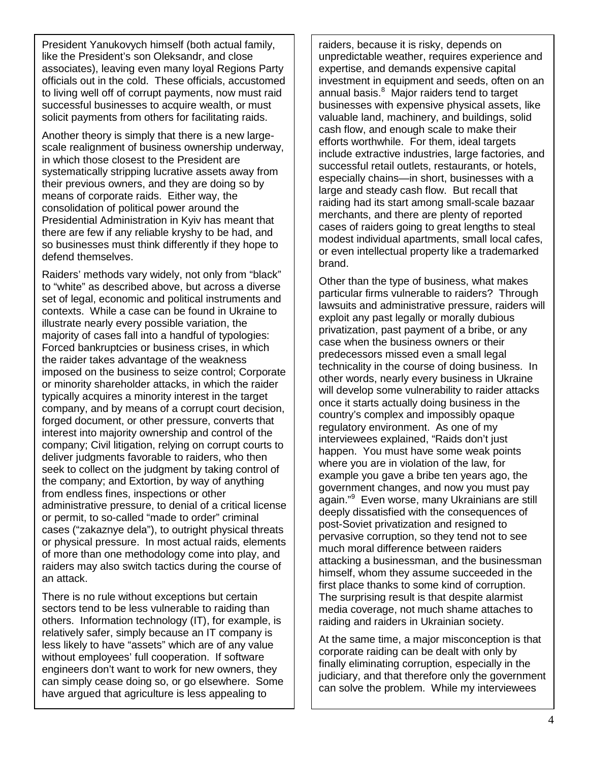President Yanukovych himself (both actual family, like the President's son Oleksandr, and close associates), leaving even many loyal Regions Party officials out in the cold. These officials, accustomed to living well off of corrupt payments, now must raid successful businesses to acquire wealth, or must solicit payments from others for facilitating raids.

Another theory is simply that there is a new largescale realignment of business ownership underway, in which those closest to the President are systematically stripping lucrative assets away from their previous owners, and they are doing so by means of corporate raids. Either way, the consolidation of political power around the Presidential Administration in Kyiv has meant that there are few if any reliable kryshy to be had, and so businesses must think differently if they hope to defend themselves.

Raiders' methods vary widely, not only from "black" to "white" as described above, but across a diverse set of legal, economic and political instruments and contexts. While a case can be found in Ukraine to illustrate nearly every possible variation, the majority of cases fall into a handful of typologies: Forced bankruptcies or business crises, in which the raider takes advantage of the weakness imposed on the business to seize control; Corporate or minority shareholder attacks, in which the raider typically acquires a minority interest in the target company, and by means of a corrupt court decision, forged document, or other pressure, converts that interest into majority ownership and control of the company; Civil litigation, relying on corrupt courts to deliver judgments favorable to raiders, who then seek to collect on the judgment by taking control of the company; and Extortion, by way of anything from endless fines, inspections or other administrative pressure, to denial of a critical license or permit, to so-called "made to order" criminal cases ("zakaznye dela"), to outright physical threats or physical pressure. In most actual raids, elements of more than one methodology come into play, and raiders may also switch tactics during the course of an attack.

There is no rule without exceptions but certain sectors tend to be less vulnerable to raiding than others. Information technology (IT), for example, is relatively safer, simply because an IT company is less likely to have "assets" which are of any value without employees' full cooperation. If software engineers don't want to work for new owners, they can simply cease doing so, or go elsewhere. Some have argued that agriculture is less appealing to

raiders, because it is risky, depends on unpredictable weather, requires experience and expertise, and demands expensive capital investment in equipment and seeds, often on an annual basis.<sup>8</sup> Major raiders tend to target businesses with expensive physical assets, like valuable land, machinery, and buildings, solid cash flow, and enough scale to make their efforts worthwhile. For them, ideal targets include extractive industries, large factories, and successful retail outlets, restaurants, or hotels, especially chains—in short, businesses with a large and steady cash flow. But recall that raiding had its start among small-scale bazaar merchants, and there are plenty of reported cases of raiders going to great lengths to steal modest individual apartments, small local cafes, or even intellectual property like a trademarked brand.

Other than the type of business, what makes particular firms vulnerable to raiders? Through lawsuits and administrative pressure, raiders will exploit any past legally or morally dubious privatization, past payment of a bribe, or any case when the business owners or their predecessors missed even a small legal technicality in the course of doing business. In other words, nearly every business in Ukraine will develop some vulnerability to raider attacks once it starts actually doing business in the country's complex and impossibly opaque regulatory environment. As one of my interviewees explained, "Raids don't just happen. You must have some weak points where you are in violation of the law, for example you gave a bribe ten years ago, the government changes, and now you must pay again."<sup>9</sup> Even worse, many Ukrainians are still deeply dissatisfied with the consequences of post-Soviet privatization and resigned to pervasive corruption, so they tend not to see much moral difference between raiders attacking a businessman, and the businessman himself, whom they assume succeeded in the first place thanks to some kind of corruption. The surprising result is that despite alarmist media coverage, not much shame attaches to raiding and raiders in Ukrainian society.

At the same time, a major misconception is that corporate raiding can be dealt with only by finally eliminating corruption, especially in the judiciary, and that therefore only the government can solve the problem. While my interviewees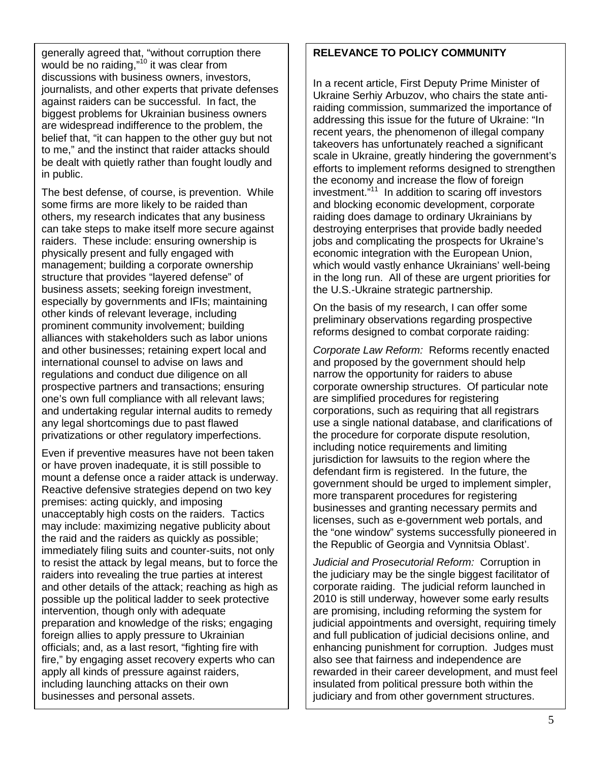generally agreed that, "without corruption there would be no raiding,"<sup>10</sup> it was clear from discussions with business owners, investors, journalists, and other experts that private defenses against raiders can be successful. In fact, the biggest problems for Ukrainian business owners are widespread indifference to the problem, the belief that, "it can happen to the other guy but not to me," and the instinct that raider attacks should be dealt with quietly rather than fought loudly and in public.

The best defense, of course, is prevention. While some firms are more likely to be raided than others, my research indicates that any business can take steps to make itself more secure against raiders. These include: ensuring ownership is physically present and fully engaged with management; building a corporate ownership structure that provides "layered defense" of business assets; seeking foreign investment, especially by governments and IFIs; maintaining other kinds of relevant leverage, including prominent community involvement; building alliances with stakeholders such as labor unions and other businesses; retaining expert local and international counsel to advise on laws and regulations and conduct due diligence on all prospective partners and transactions; ensuring one's own full compliance with all relevant laws; and undertaking regular internal audits to remedy any legal shortcomings due to past flawed privatizations or other regulatory imperfections.

Even if preventive measures have not been taken or have proven inadequate, it is still possible to mount a defense once a raider attack is underway. Reactive defensive strategies depend on two key premises: acting quickly, and imposing unacceptably high costs on the raiders. Tactics may include: maximizing negative publicity about the raid and the raiders as quickly as possible; immediately filing suits and counter-suits, not only to resist the attack by legal means, but to force the raiders into revealing the true parties at interest and other details of the attack; reaching as high as possible up the political ladder to seek protective intervention, though only with adequate preparation and knowledge of the risks; engaging foreign allies to apply pressure to Ukrainian officials; and, as a last resort, "fighting fire with fire," by engaging asset recovery experts who can apply all kinds of pressure against raiders, including launching attacks on their own businesses and personal assets.

#### **RELEVANCE TO POLICY COMMUNITY**

In a recent article, First Deputy Prime Minister of Ukraine Serhiy Arbuzov, who chairs the state antiraiding commission, summarized the importance of addressing this issue for the future of Ukraine: "In recent years, the phenomenon of illegal company takeovers has unfortunately reached a significant scale in Ukraine, greatly hindering the government's efforts to implement reforms designed to strengthen the economy and increase the flow of foreign investment."11 In addition to scaring off investors and blocking economic development, corporate raiding does damage to ordinary Ukrainians by destroying enterprises that provide badly needed jobs and complicating the prospects for Ukraine's economic integration with the European Union, which would vastly enhance Ukrainians' well-being in the long run. All of these are urgent priorities for the U.S.-Ukraine strategic partnership.

On the basis of my research, I can offer some preliminary observations regarding prospective reforms designed to combat corporate raiding:

*Corporate Law Reform:* Reforms recently enacted and proposed by the government should help narrow the opportunity for raiders to abuse corporate ownership structures. Of particular note are simplified procedures for registering corporations, such as requiring that all registrars use a single national database, and clarifications of the procedure for corporate dispute resolution, including notice requirements and limiting jurisdiction for lawsuits to the region where the defendant firm is registered. In the future, the government should be urged to implement simpler, more transparent procedures for registering businesses and granting necessary permits and licenses, such as e-government web portals, and the "one window" systems successfully pioneered in the Republic of Georgia and Vynnitsia Oblast'.

*Judicial and Prosecutorial Reform:* Corruption in the judiciary may be the single biggest facilitator of corporate raiding. The judicial reform launched in 2010 is still underway, however some early results are promising, including reforming the system for judicial appointments and oversight, requiring timely and full publication of judicial decisions online, and enhancing punishment for corruption. Judges must also see that fairness and independence are rewarded in their career development, and must feel insulated from political pressure both within the judiciary and from other government structures.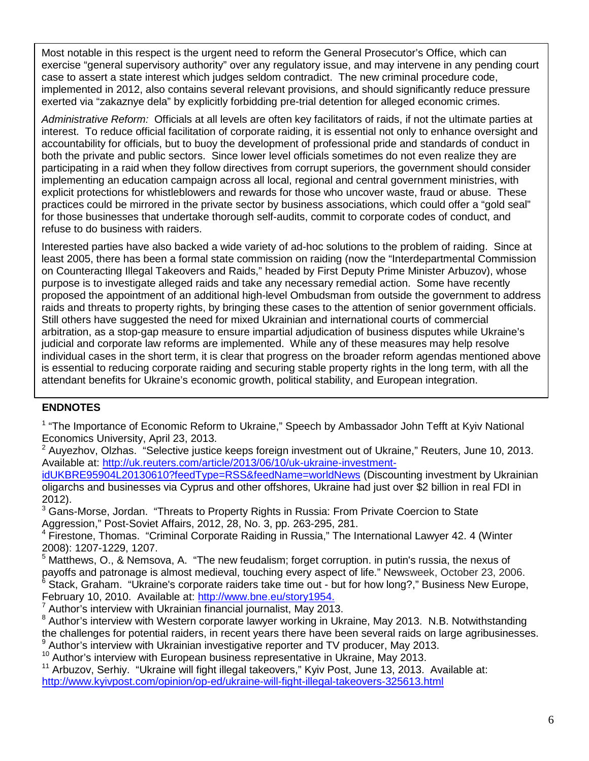Most notable in this respect is the urgent need to reform the General Prosecutor's Office, which can exercise "general supervisory authority" over any regulatory issue, and may intervene in any pending court case to assert a state interest which judges seldom contradict. The new criminal procedure code, implemented in 2012, also contains several relevant provisions, and should significantly reduce pressure exerted via "zakaznye dela" by explicitly forbidding pre-trial detention for alleged economic crimes.

*Administrative Reform:* Officials at all levels are often key facilitators of raids, if not the ultimate parties at interest. To reduce official facilitation of corporate raiding, it is essential not only to enhance oversight and accountability for officials, but to buoy the development of professional pride and standards of conduct in both the private and public sectors. Since lower level officials sometimes do not even realize they are participating in a raid when they follow directives from corrupt superiors, the government should consider implementing an education campaign across all local, regional and central government ministries, with explicit protections for whistleblowers and rewards for those who uncover waste, fraud or abuse. These practices could be mirrored in the private sector by business associations, which could offer a "gold seal" for those businesses that undertake thorough self-audits, commit to corporate codes of conduct, and refuse to do business with raiders.

Interested parties have also backed a wide variety of ad-hoc solutions to the problem of raiding. Since at least 2005, there has been a formal state commission on raiding (now the "Interdepartmental Commission on Counteracting Illegal Takeovers and Raids," headed by First Deputy Prime Minister Arbuzov), whose purpose is to investigate alleged raids and take any necessary remedial action. Some have recently proposed the appointment of an additional high-level Ombudsman from outside the government to address raids and threats to property rights, by bringing these cases to the attention of senior government officials. Still others have suggested the need for mixed Ukrainian and international courts of commercial arbitration, as a stop-gap measure to ensure impartial adjudication of business disputes while Ukraine's judicial and corporate law reforms are implemented. While any of these measures may help resolve individual cases in the short term, it is clear that progress on the broader reform agendas mentioned above is essential to reducing corporate raiding and securing stable property rights in the long term, with all the attendant benefits for Ukraine's economic growth, political stability, and European integration.

#### **ENDNOTES**

<sup>1</sup> "The Importance of Economic Reform to Ukraine," Speech by Ambassador John Tefft at Kyiv National Economics University, April 23, 2013.

 $2$  Auvezhov, Olzhas. "Selective justice keeps foreign investment out of Ukraine," Reuters, June 10, 2013. Available at: [http://uk.reuters.com/article/2013/06/10/uk-ukraine-investment-](http://uk.reuters.com/article/2013/06/10/uk-ukraine-investment-idUKBRE95904L20130610?feedType=RSS&feedName=worldNews)

[idUKBRE95904L20130610?feedType=RSS&feedName=worldNews](http://uk.reuters.com/article/2013/06/10/uk-ukraine-investment-idUKBRE95904L20130610?feedType=RSS&feedName=worldNews) (Discounting investment by Ukrainian oligarchs and businesses via Cyprus and other offshores, Ukraine had just over \$2 billion in real FDI in 2012).

 $3$  Gans-Morse, Jordan. "Threats to Property Rights in Russia: From Private Coercion to State Aggression," Post-Soviet Affairs, 2012, 28, No. 3, pp. 263-295, 281.

<sup>4</sup> Firestone, Thomas. "Criminal Corporate Raiding in Russia," The International Lawyer 42. 4 (Winter 2008): 1207-1229, 1207.<br><sup>5</sup> Matthews, O., & Nemsova, A. "The new feudalism; forget corruption. in putin's russia, the nexus of

payoffs and patronage is almost medieval, touching every aspect of life." Newsweek, October 23, 2006. <sup>6</sup> Stack, Graham. "Ukraine's corporate raiders take time out - but for how long?," Business New Europe, February 10, 2010. Available at: <u>http://www.bne.eu/story1954.</u><br><sup>7</sup> Author's interview with Ukrainian financial journalist, May 2013.<br><sup>8</sup> Author's interview with Western corporate lawyer working in Ukraine, May 2013. N.B.

the challenges for potential raiders, in recent years there have been several raids on large agribusinesses.  $9$  Author's interview with Ukrainian investigative reporter and TV producer, May 2013.

 $10$  Author's interview with European business representative in Ukraine, May 2013.

<sup>11</sup> Arbuzov, Serhiy. "Ukraine will fight illegal takeovers," Kyiv Post, June 13, 2013. Available at: <http://www.kyivpost.com/opinion/op-ed/ukraine-will-fight-illegal-takeovers-325613.html>